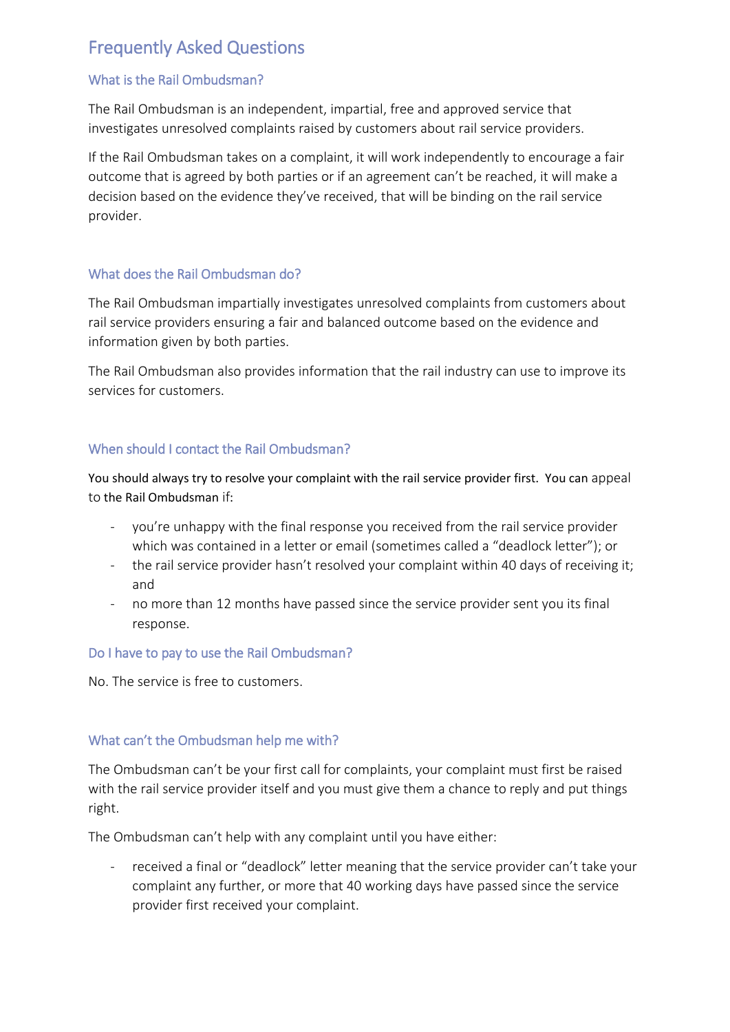# Frequently Asked Questions

## What is the Rail Ombudsman?

The Rail Ombudsman is an independent, impartial, free and approved service that investigates unresolved complaints raised by customers about rail service providers.

If the Rail Ombudsman takes on a complaint, it will work independently to encourage a fair outcome that is agreed by both parties or if an agreement can't be reached, it will make a decision based on the evidence they've received, that will be binding on the rail service provider.

#### What does the Rail Ombudsman do?

The Rail Ombudsman impartially investigates unresolved complaints from customers about rail service providers ensuring a fair and balanced outcome based on the evidence and information given by both parties.

The Rail Ombudsman also provides information that the rail industry can use to improve its services for customers.

## When should I contact the Rail Ombudsman?

You should always try to resolve your complaint with the rail service provider first. You can appeal to the Rail Ombudsman if:

- you're unhappy with the final response you received from the rail service provider which was contained in a letter or email (sometimes called a "deadlock letter"); or
- the rail service provider hasn't resolved your complaint within 40 days of receiving it; and
- no more than 12 months have passed since the service provider sent you its final response.

#### Do I have to pay to use the Rail Ombudsman?

No. The service is free to customers.

#### What can't the Ombudsman help me with?

The Ombudsman can't be your first call for complaints, your complaint must first be raised with the rail service provider itself and you must give them a chance to reply and put things right.

The Ombudsman can't help with any complaint until you have either:

received a final or "deadlock" letter meaning that the service provider can't take your complaint any further, or more that 40 working days have passed since the service provider first received your complaint.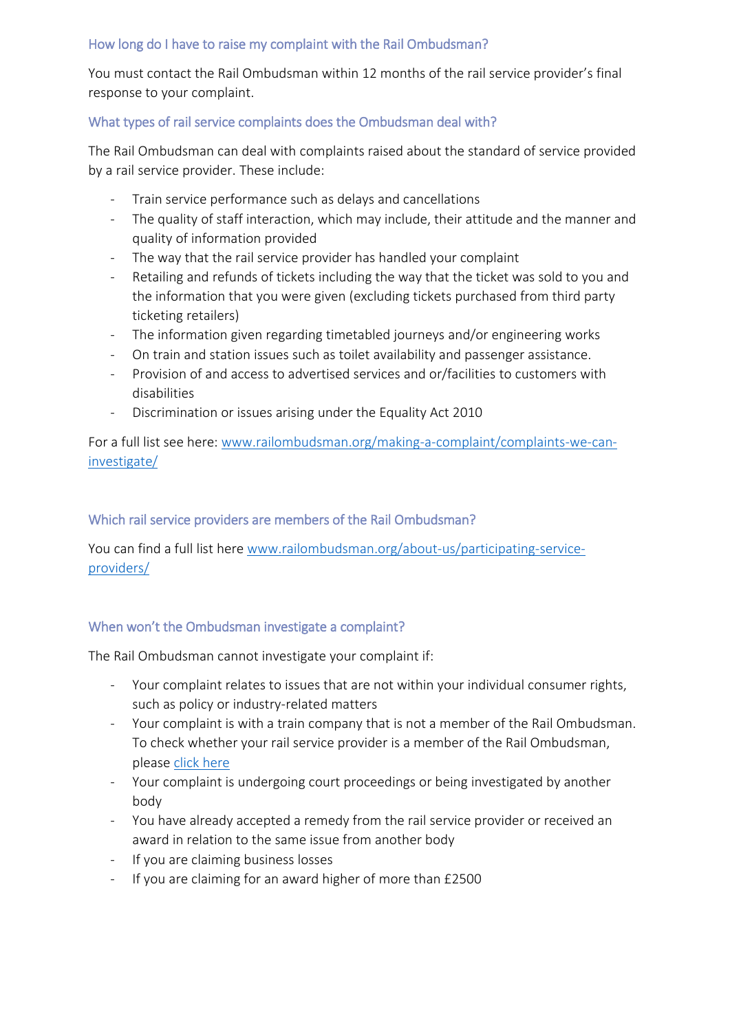## How long do I have to raise my complaint with the Rail Ombudsman?

You must contact the Rail Ombudsman within 12 months of the rail service provider's final response to your complaint.

# What types of rail service complaints does the Ombudsman deal with?

The Rail Ombudsman can deal with complaints raised about the standard of service provided by a rail service provider. These include:

- Train service performance such as delays and cancellations
- The quality of staff interaction, which may include, their attitude and the manner and quality of information provided
- The way that the rail service provider has handled your complaint
- Retailing and refunds of tickets including the way that the ticket was sold to you and the information that you were given (excluding tickets purchased from third party ticketing retailers)
- The information given regarding timetabled journeys and/or engineering works
- On train and station issues such as toilet availability and passenger assistance.
- Provision of and access to advertised services and or/facilities to customers with disabilities
- Discrimination or issues arising under the Equality Act 2010

For a full list see here: [www.railombudsman.org/making-a-complaint/complaints-we-can](http://www.railombudsman.org/making-a-complaint/complaints-we-can-investigate/)[investigate/](http://www.railombudsman.org/making-a-complaint/complaints-we-can-investigate/)

## Which rail service providers are members of the Rail Ombudsman?

You can find a full list here [www.railombudsman.org/about-us/participating-service](http://www.railombudsman.org/about-us/participating-service-providers/)[providers/](http://www.railombudsman.org/about-us/participating-service-providers/)

#### When won't the Ombudsman investigate a complaint?

The Rail Ombudsman cannot investigate your complaint if:

- Your complaint relates to issues that are not within your individual consumer rights, such as policy or industry-related matters
- Your complaint is with a train company that is not a member of the Rail Ombudsman. To check whether your rail service provider is a member of the Rail Ombudsman, pleas[e click here](https://www.railombudsman.org/about-us/participating-service-providers/)
- Your complaint is undergoing court proceedings or being investigated by another body
- You have already accepted a remedy from the rail service provider or received an award in relation to the same issue from another body
- If you are claiming business losses
- If you are claiming for an award higher of more than £2500